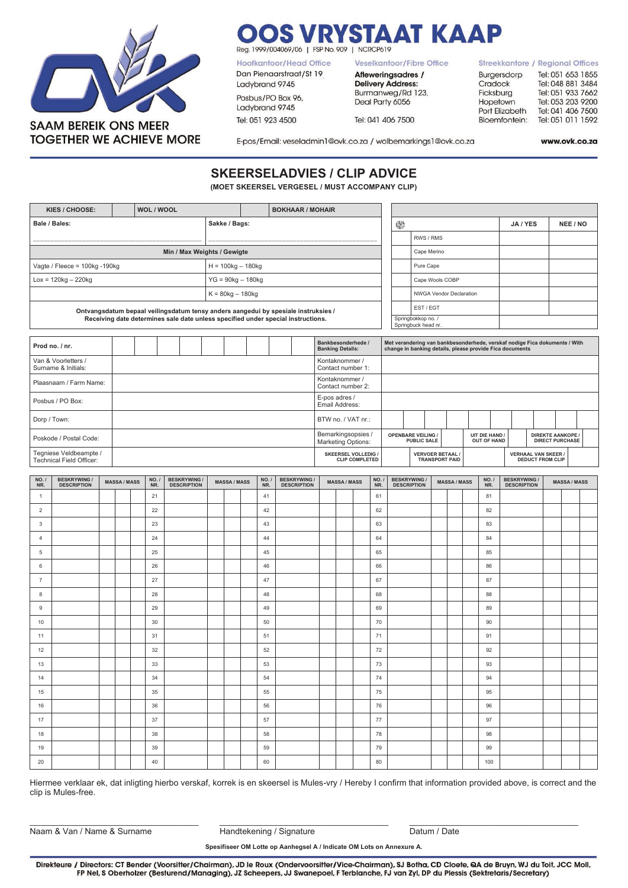

## **RYSTAAT KAAP** Reg. 1999/004069/06 | FSP No. 909 | NCRCP619

Hoofkantoor/Head Office

Dan Pienaarstraat/St 19<br>Ladybrand 9745

Posbus/PO Box 96,

Ladybrand 9745

Tel: 051 923 4500

Veselkantoor/Fibre Office

Afleweringsadres / **Delivery Address:** Burmanweg/Rd 123, Deal Party 6056

Tel: 041 406 7500

**Streekkantore / Regional Offices** Burgersdorp Tel: 051 653 1855 Tel: 048 881 3484 Cradock Tel: 051 933 7662 Ficksburg Tel: 053 203 9200 Hopetown Port Elizabeth Tel: 041 406 7500 Tel: 051 011 1592 Bloemfontein:

E-pos/Email: veseladmin1@ovk.co.za / wolbemarkings1@ovk.co.za

www.ovk.co.za

## **SKEERSELADVIES / CLIP ADVICE**

**(MOET SKEERSEL VERGESEL / MUST ACCOMPANY CLIP)**

|                                                                                                                                                                        | KIES / CHOOSE:                          |  | WOL / WOOL<br><b>BOKHAAR / MOHAIR</b> |  |            |                                               |                                         |  |                     |  |            |  |                                           |                          |                                                                                                                                        |                                     |                        |                                                                                                                                             |                                         |                       |  |          |              |                                                       |  |  |                   |  |  |  |  |  |
|------------------------------------------------------------------------------------------------------------------------------------------------------------------------|-----------------------------------------|--|---------------------------------------|--|------------|-----------------------------------------------|-----------------------------------------|--|---------------------|--|------------|--|-------------------------------------------|--------------------------|----------------------------------------------------------------------------------------------------------------------------------------|-------------------------------------|------------------------|---------------------------------------------------------------------------------------------------------------------------------------------|-----------------------------------------|-----------------------|--|----------|--------------|-------------------------------------------------------|--|--|-------------------|--|--|--|--|--|
| Bale / Bales:                                                                                                                                                          |                                         |  |                                       |  |            |                                               |                                         |  | 0<br>Sakke / Bags:  |  |            |  |                                           |                          |                                                                                                                                        |                                     |                        |                                                                                                                                             | JA / YES                                |                       |  | NEE / NO |              |                                                       |  |  |                   |  |  |  |  |  |
|                                                                                                                                                                        |                                         |  |                                       |  |            |                                               |                                         |  |                     |  |            |  |                                           |                          |                                                                                                                                        | RWS / RMS                           |                        |                                                                                                                                             |                                         |                       |  |          |              |                                                       |  |  |                   |  |  |  |  |  |
| Min / Max Weights / Gewigte                                                                                                                                            |                                         |  |                                       |  |            |                                               |                                         |  |                     |  |            |  |                                           |                          |                                                                                                                                        | Cape Merino                         |                        |                                                                                                                                             |                                         |                       |  |          |              |                                                       |  |  |                   |  |  |  |  |  |
| Vagte / Fleece = $100$ kg -190kg<br>$H = 100$ kg – 180kg                                                                                                               |                                         |  |                                       |  |            |                                               |                                         |  |                     |  |            |  |                                           |                          |                                                                                                                                        |                                     |                        | Pure Cape                                                                                                                                   |                                         |                       |  |          |              |                                                       |  |  |                   |  |  |  |  |  |
|                                                                                                                                                                        | $Lox = 120kg - 220kg$                   |  |                                       |  |            |                                               |                                         |  | $YG = 90kg - 180kg$ |  |            |  |                                           |                          |                                                                                                                                        |                                     |                        |                                                                                                                                             | Cape Wools COBP                         |                       |  |          |              |                                                       |  |  |                   |  |  |  |  |  |
|                                                                                                                                                                        |                                         |  |                                       |  |            |                                               |                                         |  | $K = 80kg - 180kg$  |  |            |  |                                           |                          |                                                                                                                                        |                                     |                        |                                                                                                                                             | <b>NWGA Vendor Declaration</b>          |                       |  |          |              |                                                       |  |  |                   |  |  |  |  |  |
|                                                                                                                                                                        |                                         |  |                                       |  |            |                                               |                                         |  |                     |  |            |  |                                           |                          |                                                                                                                                        |                                     |                        |                                                                                                                                             | EST / EGT                               |                       |  |          |              |                                                       |  |  |                   |  |  |  |  |  |
| Ontvangsdatum bepaal veilingsdatum tensy anders aangedui by spesiale instruksies /<br>Receiving date determines sale date unless specified under special instructions. |                                         |  |                                       |  |            |                                               |                                         |  |                     |  |            |  | Springbokkop no. /<br>Springbuck head nr. |                          |                                                                                                                                        |                                     |                        |                                                                                                                                             |                                         |                       |  |          |              |                                                       |  |  |                   |  |  |  |  |  |
|                                                                                                                                                                        |                                         |  |                                       |  |            |                                               |                                         |  |                     |  |            |  |                                           |                          |                                                                                                                                        |                                     |                        |                                                                                                                                             |                                         |                       |  |          |              |                                                       |  |  |                   |  |  |  |  |  |
| Prod no. / nr.                                                                                                                                                         |                                         |  |                                       |  |            | Bankbesonderhede /<br><b>Banking Details:</b> |                                         |  |                     |  |            |  |                                           |                          | Met verandering van bankbesonderhede, verskaf nodige Fica dokumente / With<br>change in banking details, please provide Fica documents |                                     |                        |                                                                                                                                             |                                         |                       |  |          |              |                                                       |  |  |                   |  |  |  |  |  |
| Van & Voorletters /<br>Kontaknommer /<br>Surname & Initials:<br>Contact number 1:                                                                                      |                                         |  |                                       |  |            |                                               |                                         |  |                     |  |            |  |                                           |                          |                                                                                                                                        |                                     |                        |                                                                                                                                             |                                         |                       |  |          |              |                                                       |  |  |                   |  |  |  |  |  |
|                                                                                                                                                                        | Plaasnaam / Farm Name:                  |  |                                       |  |            |                                               |                                         |  |                     |  |            |  |                                           |                          |                                                                                                                                        | Kontaknommer /<br>Contact number 2: |                        |                                                                                                                                             |                                         |                       |  |          |              |                                                       |  |  |                   |  |  |  |  |  |
|                                                                                                                                                                        | Posbus / PO Box:                        |  |                                       |  |            |                                               |                                         |  |                     |  |            |  | E-pos adres /<br>Email Address:           |                          |                                                                                                                                        |                                     |                        |                                                                                                                                             |                                         |                       |  |          |              |                                                       |  |  |                   |  |  |  |  |  |
| Dorp / Town:                                                                                                                                                           |                                         |  |                                       |  |            |                                               |                                         |  |                     |  |            |  | BTW no. / VAT nr.:                        |                          |                                                                                                                                        |                                     |                        |                                                                                                                                             |                                         |                       |  |          |              |                                                       |  |  |                   |  |  |  |  |  |
|                                                                                                                                                                        | Poskode / Postal Code:                  |  |                                       |  |            |                                               |                                         |  |                     |  |            |  |                                           |                          | Bemarkingsopsies /<br><b>Marketing Options:</b>                                                                                        |                                     |                        | <b>OPENBARE VEILING</b><br>UIT DIE HAND /<br><b>DIREKTE AANKOPE /</b><br><b>OUT OF HAND</b><br><b>DIRECT PURCHASE</b><br><b>PUBLIC SALE</b> |                                         |                       |  |          |              |                                                       |  |  |                   |  |  |  |  |  |
| Tegniese Veldbeampte /<br><b>Technical Field Officer:</b>                                                                                                              |                                         |  |                                       |  |            |                                               |                                         |  |                     |  |            |  |                                           | <b>SKEERSEL VOLLEDIG</b> | <b>CLIP COMPLETED</b>                                                                                                                  |                                     | <b>VERVOER BETAAL/</b> |                                                                                                                                             |                                         | <b>TRANSPORT PAID</b> |  |          |              | <b>VERHAAL VAN SKEER /</b><br><b>DEDUCT FROM CLIP</b> |  |  |                   |  |  |  |  |  |
|                                                                                                                                                                        |                                         |  |                                       |  |            |                                               |                                         |  |                     |  |            |  |                                           |                          |                                                                                                                                        |                                     |                        |                                                                                                                                             |                                         |                       |  |          |              |                                                       |  |  |                   |  |  |  |  |  |
| NO. /<br>NR.                                                                                                                                                           | <b>BESKRYWING</b><br><b>DESCRIPTION</b> |  | <b>MASSA/MASS</b>                     |  | NO.<br>NR. |                                               | <b>BESKRYWING</b><br><b>DESCRIPTION</b> |  | <b>MASSA/MASS</b>   |  | NO.<br>NR. |  | <b>BESKRYWING</b><br><b>DESCRIPTION</b>   |                          | <b>MASSA/MASS</b>                                                                                                                      |                                     | NO.<br>NR.             |                                                                                                                                             | <b>BESKRYWING</b><br><b>DESCRIPTION</b> | <b>MASSA/MASS</b>     |  |          | NO. /<br>NR. | <b>BESKRYWING</b><br><b>DESCRIPTION</b>               |  |  | <b>MASSA/MASS</b> |  |  |  |  |  |
|                                                                                                                                                                        |                                         |  |                                       |  | 21         |                                               |                                         |  |                     |  | 41         |  |                                           |                          |                                                                                                                                        | 61                                  |                        |                                                                                                                                             |                                         |                       |  | 81       |              |                                                       |  |  |                   |  |  |  |  |  |
| $\mathcal{P}$                                                                                                                                                          |                                         |  |                                       |  | 22         |                                               |                                         |  |                     |  | 42         |  |                                           |                          |                                                                                                                                        |                                     | 62                     |                                                                                                                                             |                                         |                       |  |          | 82           |                                                       |  |  |                   |  |  |  |  |  |

|                |  |  | $ \cdot$ |  |  | . . |  |  | $\sim$ . |  |  | $\sim$ . |  |  |
|----------------|--|--|----------|--|--|-----|--|--|----------|--|--|----------|--|--|
| $\overline{2}$ |  |  | 22       |  |  | 42  |  |  | 62       |  |  | 82       |  |  |
| $\mathbf{3}$   |  |  | 23       |  |  | 43  |  |  | 63       |  |  | 83       |  |  |
| $\overline{4}$ |  |  | 24       |  |  | 44  |  |  | 64       |  |  | 84       |  |  |
| 5              |  |  | 25       |  |  | 45  |  |  | 65       |  |  | 85       |  |  |
| 6              |  |  | 26       |  |  | 46  |  |  | 66       |  |  | 86       |  |  |
| $\overline{7}$ |  |  | 27       |  |  | 47  |  |  | 67       |  |  | 87       |  |  |
| 8              |  |  | 28       |  |  | 48  |  |  | 68       |  |  | 88       |  |  |
| 9              |  |  | 29       |  |  | 49  |  |  | 69       |  |  | 89       |  |  |
| 10             |  |  | 30       |  |  | 50  |  |  | 70       |  |  | 90       |  |  |
| 11             |  |  | 31       |  |  | 51  |  |  | 71       |  |  | 91       |  |  |
| 12             |  |  | 32       |  |  | 52  |  |  | 72       |  |  | 92       |  |  |
| 13             |  |  | 33       |  |  | 53  |  |  | 73       |  |  | 93       |  |  |
| 14             |  |  | 34       |  |  | 54  |  |  | 74       |  |  | 94       |  |  |
| 15             |  |  | 35       |  |  | 55  |  |  | 75       |  |  | 95       |  |  |
| 16             |  |  | 36       |  |  | 56  |  |  | 76       |  |  | 96       |  |  |
| 17             |  |  | 37       |  |  | 57  |  |  | 77       |  |  | 97       |  |  |
| 18             |  |  | 38       |  |  | 58  |  |  | 78       |  |  | 98       |  |  |
| 19             |  |  | 39       |  |  | 59  |  |  | 79       |  |  | 99       |  |  |
| 20             |  |  | 40       |  |  | 60  |  |  | 80       |  |  | 100      |  |  |

Hiermee verklaar ek, dat inligting hierbo verskaf, korrek is en skeersel is Mules-vry / Hereby I confirm that information provided above, is correct and the clip is Mules-free.

Naam & Van / Name & Surname Handtekening / Signature Datum / Date

\_\_\_\_\_\_\_\_\_\_\_\_\_\_\_\_\_\_\_\_\_\_\_\_\_\_\_\_\_\_\_\_\_\_\_\_ \_\_\_\_\_\_\_\_\_\_\_\_\_\_\_\_\_\_\_\_\_\_\_\_\_\_\_\_\_\_\_\_\_\_\_\_ \_\_\_\_\_\_\_\_\_\_\_\_\_\_\_\_\_\_\_\_\_\_\_\_\_\_\_\_\_\_\_\_\_\_\_\_

**Spesifiseer OM Lotte op Aanhegsel A / Indicate OM Lots on Annexure A.**

Direkteure / Directors: CT Bender (Voorsitter/Chairman), JD le Roux (Ondervoorsitter/Vice-Chairman), SJ Botha, CD Cloete, QA de Bruyn, WJ du Toit, JCC Moll, FP Nel, S Oberholzer (Besturend/Managing), JZ Scheepers, JJ Swanepoel, F Terblanche, FJ van Zyl, DP du Plessis (Sektretaris/Secretary)